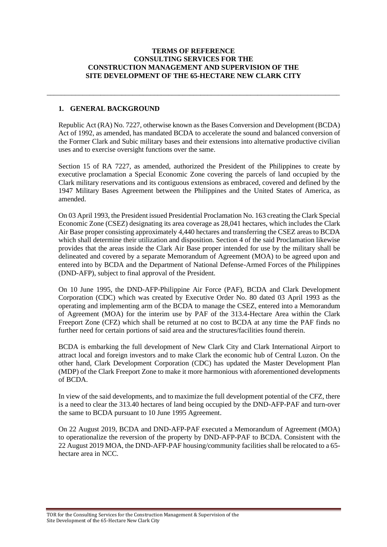### **TERMS OF REFERENCE CONSULTING SERVICES FOR THE CONSTRUCTION MANAGEMENT AND SUPERVISION OF THE SITE DEVELOPMENT OF THE 65-HECTARE NEW CLARK CITY**

\_\_\_\_\_\_\_\_\_\_\_\_\_\_\_\_\_\_\_\_\_\_\_\_\_\_\_\_\_\_\_\_\_\_\_\_\_\_\_\_\_\_\_\_\_\_\_\_\_\_\_\_\_\_\_\_\_\_\_\_\_\_\_\_\_\_\_\_\_\_\_\_\_\_\_\_\_\_\_\_\_\_

# **1. GENERAL BACKGROUND**

Republic Act (RA) No. 7227, otherwise known as the Bases Conversion and Development (BCDA) Act of 1992, as amended, has mandated BCDA to accelerate the sound and balanced conversion of the Former Clark and Subic military bases and their extensions into alternative productive civilian uses and to exercise oversight functions over the same.

Section 15 of RA 7227, as amended, authorized the President of the Philippines to create by executive proclamation a Special Economic Zone covering the parcels of land occupied by the Clark military reservations and its contiguous extensions as embraced, covered and defined by the 1947 Military Bases Agreement between the Philippines and the United States of America, as amended.

On 03 April 1993, the President issued Presidential Proclamation No. 163 creating the Clark Special Economic Zone (CSEZ) designating its area coverage as 28,041 hectares, which includes the Clark Air Base proper consisting approximately 4,440 hectares and transferring the CSEZ areas to BCDA which shall determine their utilization and disposition. Section 4 of the said Proclamation likewise provides that the areas inside the Clark Air Base proper intended for use by the military shall be delineated and covered by a separate Memorandum of Agreement (MOA) to be agreed upon and entered into by BCDA and the Department of National Defense-Armed Forces of the Philippines (DND-AFP), subject to final approval of the President.

On 10 June 1995, the DND-AFP-Philippine Air Force (PAF), BCDA and Clark Development Corporation (CDC) which was created by Executive Order No. 80 dated 03 April 1993 as the operating and implementing arm of the BCDA to manage the CSEZ, entered into a Memorandum of Agreement (MOA) for the interim use by PAF of the 313.4-Hectare Area within the Clark Freeport Zone (CFZ) which shall be returned at no cost to BCDA at any time the PAF finds no further need for certain portions of said area and the structures/facilities found therein.

BCDA is embarking the full development of New Clark City and Clark International Airport to attract local and foreign investors and to make Clark the economic hub of Central Luzon. On the other hand, Clark Development Corporation (CDC) has updated the Master Development Plan (MDP) of the Clark Freeport Zone to make it more harmonious with aforementioned developments of BCDA.

In view of the said developments, and to maximize the full development potential of the CFZ, there is a need to clear the 313.40 hectares of land being occupied by the DND-AFP-PAF and turn-over the same to BCDA pursuant to 10 June 1995 Agreement.

On 22 August 2019, BCDA and DND-AFP-PAF executed a Memorandum of Agreement (MOA) to operationalize the reversion of the property by DND-AFP-PAF to BCDA. Consistent with the 22 August 2019 MOA, the DND-AFP-PAF housing/community facilities shall be relocated to a 65 hectare area in NCC.

TOR for the Consulting Services for the Construction Management & Supervision of the Site Development of the 65-Hectare New Clark City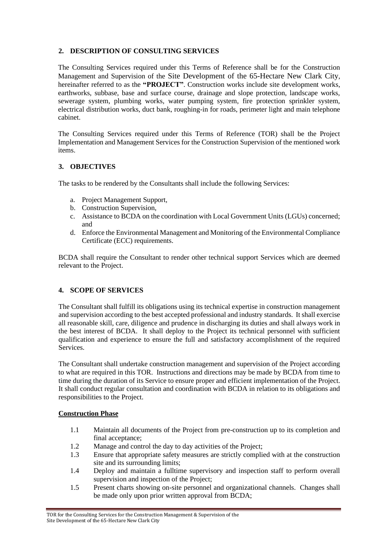# **2. DESCRIPTION OF CONSULTING SERVICES**

The Consulting Services required under this Terms of Reference shall be for the Construction Management and Supervision of the Site Development of the 65-Hectare New Clark City, hereinafter referred to as the **"PROJECT"**. Construction works include site development works, earthworks, subbase, base and surface course, drainage and slope protection, landscape works, sewerage system, plumbing works, water pumping system, fire protection sprinkler system, electrical distribution works, duct bank, roughing-in for roads, perimeter light and main telephone cabinet.

The Consulting Services required under this Terms of Reference (TOR) shall be the Project Implementation and Management Services for the Construction Supervision of the mentioned work items.

# **3. OBJECTIVES**

The tasks to be rendered by the Consultants shall include the following Services:

- a. Project Management Support,
- b. Construction Supervision,
- c. Assistance to BCDA on the coordination with Local Government Units (LGUs) concerned; and
- d. Enforce the Environmental Management and Monitoring of the Environmental Compliance Certificate (ECC) requirements.

BCDA shall require the Consultant to render other technical support Services which are deemed relevant to the Project.

# **4. SCOPE OF SERVICES**

The Consultant shall fulfill its obligations using its technical expertise in construction management and supervision according to the best accepted professional and industry standards. It shall exercise all reasonable skill, care, diligence and prudence in discharging its duties and shall always work in the best interest of BCDA. It shall deploy to the Project its technical personnel with sufficient qualification and experience to ensure the full and satisfactory accomplishment of the required Services.

The Consultant shall undertake construction management and supervision of the Project according to what are required in this TOR. Instructions and directions may be made by BCDA from time to time during the duration of its Service to ensure proper and efficient implementation of the Project. It shall conduct regular consultation and coordination with BCDA in relation to its obligations and responsibilities to the Project.

#### **Construction Phase**

- 1.1 Maintain all documents of the Project from pre-construction up to its completion and final acceptance;
- 1.2 Manage and control the day to day activities of the Project;
- 1.3 Ensure that appropriate safety measures are strictly complied with at the construction site and its surrounding limits;
- 1.4 Deploy and maintain a fulltime supervisory and inspection staff to perform overall supervision and inspection of the Project;
- 1.5 Present charts showing on-site personnel and organizational channels. Changes shall be made only upon prior written approval from BCDA;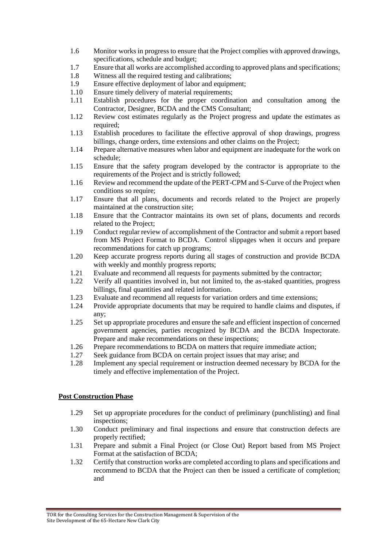- 1.6 Monitor works in progress to ensure that the Project complies with approved drawings, specifications, schedule and budget;
- 1.7 Ensure that all works are accomplished according to approved plans and specifications;
- 1.8 Witness all the required testing and calibrations;
- 1.9 Ensure effective deployment of labor and equipment;
- 1.10 Ensure timely delivery of material requirements;
- 1.11 Establish procedures for the proper coordination and consultation among the Contractor, Designer, BCDA and the CMS Consultant;
- 1.12 Review cost estimates regularly as the Project progress and update the estimates as required;
- 1.13 Establish procedures to facilitate the effective approval of shop drawings, progress billings, change orders, time extensions and other claims on the Project;
- 1.14 Prepare alternative measures when labor and equipment are inadequate for the work on schedule;
- 1.15 Ensure that the safety program developed by the contractor is appropriate to the requirements of the Project and is strictly followed;
- 1.16 Review and recommend the update of the PERT-CPM and S-Curve of the Project when conditions so require;
- 1.17 Ensure that all plans, documents and records related to the Project are properly maintained at the construction site;
- 1.18 Ensure that the Contractor maintains its own set of plans, documents and records related to the Project;
- 1.19 Conduct regular review of accomplishment of the Contractor and submit a report based from MS Project Format to BCDA. Control slippages when it occurs and prepare recommendations for catch up programs;
- 1.20 Keep accurate progress reports during all stages of construction and provide BCDA with weekly and monthly progress reports;
- 1.21 Evaluate and recommend all requests for payments submitted by the contractor;
- 1.22 Verify all quantities involved in, but not limited to, the as-staked quantities, progress billings, final quantities and related information.
- 1.23 Evaluate and recommend all requests for variation orders and time extensions;
- 1.24 Provide appropriate documents that may be required to handle claims and disputes, if any;
- 1.25 Set up appropriate procedures and ensure the safe and efficient inspection of concerned government agencies, parties recognized by BCDA and the BCDA Inspectorate. Prepare and make recommendations on these inspections;
- 1.26 Prepare recommendations to BCDA on matters that require immediate action;
- 1.27 Seek guidance from BCDA on certain project issues that may arise; and
- 1.28 Implement any special requirement or instruction deemed necessary by BCDA for the timely and effective implementation of the Project.

#### **Post Construction Phase**

- 1.29 Set up appropriate procedures for the conduct of preliminary (punchlisting) and final inspections;
- 1.30 Conduct preliminary and final inspections and ensure that construction defects are properly rectified;
- 1.31 Prepare and submit a Final Project (or Close Out) Report based from MS Project Format at the satisfaction of BCDA;
- 1.32 Certify that construction works are completed according to plans and specifications and recommend to BCDA that the Project can then be issued a certificate of completion; and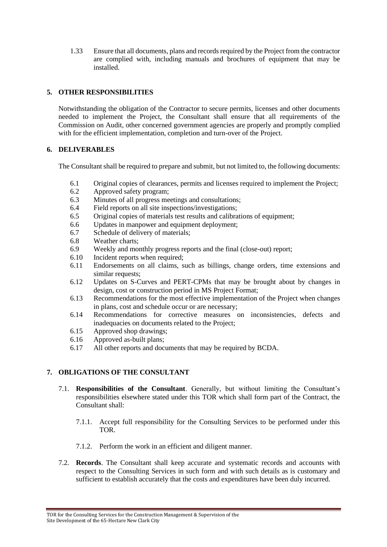1.33 Ensure that all documents, plans and records required by the Project from the contractor are complied with, including manuals and brochures of equipment that may be installed.

# **5. OTHER RESPONSIBILITIES**

Notwithstanding the obligation of the Contractor to secure permits, licenses and other documents needed to implement the Project, the Consultant shall ensure that all requirements of the Commission on Audit, other concerned government agencies are properly and promptly complied with for the efficient implementation, completion and turn-over of the Project.

# **6. DELIVERABLES**

The Consultant shall be required to prepare and submit, but not limited to, the following documents:

- 6.1 Original copies of clearances, permits and licenses required to implement the Project;
- 6.2 Approved safety program;
- 6.3 Minutes of all progress meetings and consultations;
- 6.4 Field reports on all site inspections/investigations;
- 6.5 Original copies of materials test results and calibrations of equipment;
- 6.6 Updates in manpower and equipment deployment;
- 6.7 Schedule of delivery of materials;
- 6.8 Weather charts;
- 6.9 Weekly and monthly progress reports and the final (close-out) report;
- 6.10 Incident reports when required;
- 6.11 Endorsements on all claims, such as billings, change orders, time extensions and similar requests;
- 6.12 Updates on S-Curves and PERT-CPMs that may be brought about by changes in design, cost or construction period in MS Project Format;
- 6.13 Recommendations for the most effective implementation of the Project when changes in plans, cost and schedule occur or are necessary;
- 6.14 Recommendations for corrective measures on inconsistencies, defects and inadequacies on documents related to the Project;
- 6.15 Approved shop drawings;
- 6.16 Approved as-built plans;
- 6.17 All other reports and documents that may be required by BCDA.

# **7. OBLIGATIONS OF THE CONSULTANT**

- 7.1. **Responsibilities of the Consultant**. Generally, but without limiting the Consultant's responsibilities elsewhere stated under this TOR which shall form part of the Contract, the Consultant shall:
	- 7.1.1. Accept full responsibility for the Consulting Services to be performed under this TOR.
	- 7.1.2. Perform the work in an efficient and diligent manner.
- 7.2. **Records**. The Consultant shall keep accurate and systematic records and accounts with respect to the Consulting Services in such form and with such details as is customary and sufficient to establish accurately that the costs and expenditures have been duly incurred.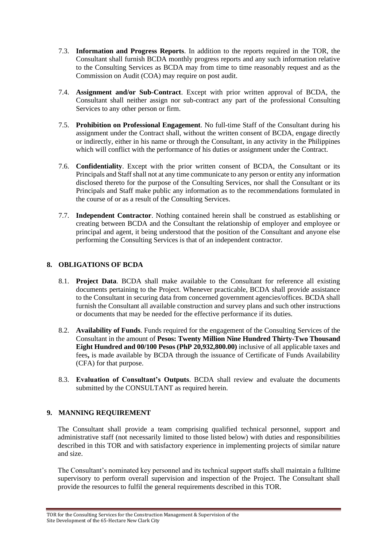- 7.3. **Information and Progress Reports**. In addition to the reports required in the TOR, the Consultant shall furnish BCDA monthly progress reports and any such information relative to the Consulting Services as BCDA may from time to time reasonably request and as the Commission on Audit (COA) may require on post audit.
- 7.4. **Assignment and/or Sub-Contract**. Except with prior written approval of BCDA, the Consultant shall neither assign nor sub-contract any part of the professional Consulting Services to any other person or firm.
- 7.5. **Prohibition on Professional Engagement**. No full-time Staff of the Consultant during his assignment under the Contract shall, without the written consent of BCDA, engage directly or indirectly, either in his name or through the Consultant, in any activity in the Philippines which will conflict with the performance of his duties or assignment under the Contract.
- 7.6. **Confidentiality**. Except with the prior written consent of BCDA, the Consultant or its Principals and Staff shall not at any time communicate to any person or entity any information disclosed thereto for the purpose of the Consulting Services, nor shall the Consultant or its Principals and Staff make public any information as to the recommendations formulated in the course of or as a result of the Consulting Services.
- 7.7. **Independent Contractor**. Nothing contained herein shall be construed as establishing or creating between BCDA and the Consultant the relationship of employer and employee or principal and agent, it being understood that the position of the Consultant and anyone else performing the Consulting Services is that of an independent contractor.

# **8. OBLIGATIONS OF BCDA**

- 8.1. **Project Data**. BCDA shall make available to the Consultant for reference all existing documents pertaining to the Project. Whenever practicable, BCDA shall provide assistance to the Consultant in securing data from concerned government agencies/offices. BCDA shall furnish the Consultant all available construction and survey plans and such other instructions or documents that may be needed for the effective performance if its duties.
- 8.2. **Availability of Funds**. Funds required for the engagement of the Consulting Services of the Consultant in the amount of **Pesos: Twenty Million Nine Hundred Thirty-Two Thousand Eight Hundred and 00/100 Pesos (PhP 20,932,800.00)** inclusive of all applicable taxes and fees**,** is made available by BCDA through the issuance of Certificate of Funds Availability (CFA) for that purpose.
- 8.3. **Evaluation of Consultant's Outputs**. BCDA shall review and evaluate the documents submitted by the CONSULTANT as required herein.

# **9. MANNING REQUIREMENT**

The Consultant shall provide a team comprising qualified technical personnel, support and administrative staff (not necessarily limited to those listed below) with duties and responsibilities described in this TOR and with satisfactory experience in implementing projects of similar nature and size.

The Consultant's nominated key personnel and its technical support staffs shall maintain a fulltime supervisory to perform overall supervision and inspection of the Project. The Consultant shall provide the resources to fulfil the general requirements described in this TOR.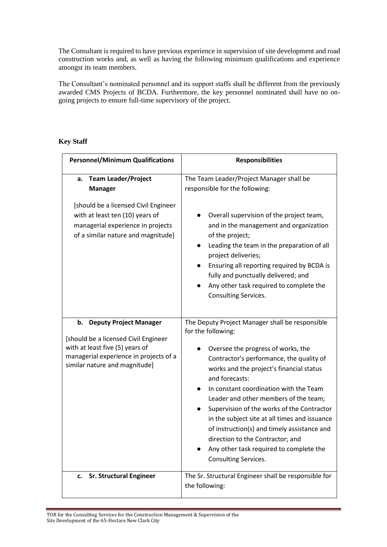The Consultant is required to have previous experience in supervision of site development and road construction works and, as well as having the following minimum qualifications and experience amongst its team members.

The Consultant's nominated personnel and its support staffs shall be different from the previously awarded CMS Projects of BCDA. Furthermore, the key personnel nominated shall have no ongoing projects to ensure full-time supervisory of the project.

# **Key Staff**

| <b>Personnel/Minimum Qualifications</b>                                                                                                                                                   | <b>Responsibilities</b>                                                                                                                                                                                                                                                                                                                                                                                                                                                                                                                                       |  |
|-------------------------------------------------------------------------------------------------------------------------------------------------------------------------------------------|---------------------------------------------------------------------------------------------------------------------------------------------------------------------------------------------------------------------------------------------------------------------------------------------------------------------------------------------------------------------------------------------------------------------------------------------------------------------------------------------------------------------------------------------------------------|--|
| <b>Team Leader/Project</b><br>а.<br><b>Manager</b>                                                                                                                                        | The Team Leader/Project Manager shall be<br>responsible for the following:                                                                                                                                                                                                                                                                                                                                                                                                                                                                                    |  |
| [should be a licensed Civil Engineer<br>with at least ten (10) years of<br>managerial experience in projects<br>of a similar nature and magnitude]                                        | Overall supervision of the project team,<br>and in the management and organization<br>of the project;<br>Leading the team in the preparation of all<br>project deliveries;<br>Ensuring all reporting required by BCDA is<br>fully and punctually delivered; and<br>Any other task required to complete the<br>Consulting Services.                                                                                                                                                                                                                            |  |
| <b>Deputy Project Manager</b><br>b.<br>[should be a licensed Civil Engineer<br>with at least five (5) years of<br>managerial experience in projects of a<br>similar nature and magnitude] | The Deputy Project Manager shall be responsible<br>for the following:<br>Oversee the progress of works, the<br>Contractor's performance, the quality of<br>works and the project's financial status<br>and forecasts:<br>In constant coordination with the Team<br>Leader and other members of the team;<br>Supervision of the works of the Contractor<br>in the subject site at all times and issuance<br>of instruction(s) and timely assistance and<br>direction to the Contractor; and<br>Any other task required to complete the<br>Consulting Services. |  |
| <b>Sr. Structural Engineer</b><br>c.                                                                                                                                                      | The Sr. Structural Engineer shall be responsible for<br>the following:                                                                                                                                                                                                                                                                                                                                                                                                                                                                                        |  |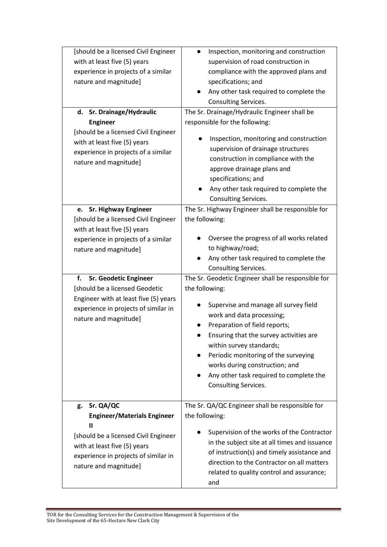| [should be a licensed Civil Engineer<br>with at least five (5) years<br>experience in projects of a similar<br>nature and magnitude]<br>d. Sr. Drainage/Hydraulic<br><b>Engineer</b><br>[should be a licensed Civil Engineer<br>with at least five (5) years<br>experience in projects of a similar<br>nature and magnitude]                                | Inspection, monitoring and construction<br>$\bullet$<br>supervision of road construction in<br>compliance with the approved plans and<br>specifications; and<br>Any other task required to complete the<br>Consulting Services.<br>The Sr. Drainage/Hydraulic Engineer shall be<br>responsible for the following:<br>Inspection, monitoring and construction<br>supervision of drainage structures<br>construction in compliance with the<br>approve drainage plans and |
|-------------------------------------------------------------------------------------------------------------------------------------------------------------------------------------------------------------------------------------------------------------------------------------------------------------------------------------------------------------|-------------------------------------------------------------------------------------------------------------------------------------------------------------------------------------------------------------------------------------------------------------------------------------------------------------------------------------------------------------------------------------------------------------------------------------------------------------------------|
|                                                                                                                                                                                                                                                                                                                                                             | specifications; and<br>Any other task required to complete the<br><b>Consulting Services.</b>                                                                                                                                                                                                                                                                                                                                                                           |
| <b>Sr. Highway Engineer</b><br>e.<br>[should be a licensed Civil Engineer<br>with at least five (5) years<br>experience in projects of a similar<br>nature and magnitude]<br>f.<br><b>Sr. Geodetic Engineer</b><br>[should be a licensed Geodetic<br>Engineer with at least five (5) years<br>experience in projects of similar in<br>nature and magnitude] | The Sr. Highway Engineer shall be responsible for<br>the following:<br>Oversee the progress of all works related<br>to highway/road;<br>Any other task required to complete the<br>Consulting Services.<br>The Sr. Geodetic Engineer shall be responsible for<br>the following:<br>Supervise and manage all survey field<br>work and data processing;<br>Preparation of field reports;<br>Ensuring that the survey activities are                                       |
|                                                                                                                                                                                                                                                                                                                                                             | within survey standards;<br>Periodic monitoring of the surveying<br>works during construction; and<br>Any other task required to complete the<br>Consulting Services.                                                                                                                                                                                                                                                                                                   |
| Sr. QA/QC<br>g.                                                                                                                                                                                                                                                                                                                                             | The Sr. QA/QC Engineer shall be responsible for                                                                                                                                                                                                                                                                                                                                                                                                                         |
| <b>Engineer/Materials Engineer</b><br>П                                                                                                                                                                                                                                                                                                                     | the following:                                                                                                                                                                                                                                                                                                                                                                                                                                                          |
| [should be a licensed Civil Engineer<br>with at least five (5) years<br>experience in projects of similar in<br>nature and magnitude]                                                                                                                                                                                                                       | Supervision of the works of the Contractor<br>in the subject site at all times and issuance<br>of instruction(s) and timely assistance and<br>direction to the Contractor on all matters<br>related to quality control and assurance;<br>and                                                                                                                                                                                                                            |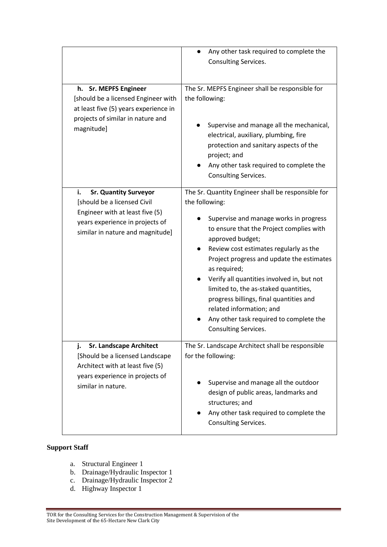|                                                                                                                                                                             | Any other task required to complete the<br>Consulting Services.                                                                                                                                                                                                                                                                                                                                                                                                                                                        |
|-----------------------------------------------------------------------------------------------------------------------------------------------------------------------------|------------------------------------------------------------------------------------------------------------------------------------------------------------------------------------------------------------------------------------------------------------------------------------------------------------------------------------------------------------------------------------------------------------------------------------------------------------------------------------------------------------------------|
| h. Sr. MEPFS Engineer<br>[should be a licensed Engineer with<br>at least five (5) years experience in<br>projects of similar in nature and<br>magnitude]                    | The Sr. MEPFS Engineer shall be responsible for<br>the following:<br>Supervise and manage all the mechanical,<br>electrical, auxiliary, plumbing, fire<br>protection and sanitary aspects of the<br>project; and<br>Any other task required to complete the<br>Consulting Services.                                                                                                                                                                                                                                    |
| i.<br><b>Sr. Quantity Surveyor</b><br>[should be a licensed Civil<br>Engineer with at least five (5)<br>years experience in projects of<br>similar in nature and magnitude] | The Sr. Quantity Engineer shall be responsible for<br>the following:<br>Supervise and manage works in progress<br>to ensure that the Project complies with<br>approved budget;<br>Review cost estimates regularly as the<br>Project progress and update the estimates<br>as required;<br>Verify all quantities involved in, but not<br>limited to, the as-staked quantities,<br>progress billings, final quantities and<br>related information; and<br>Any other task required to complete the<br>Consulting Services. |
| <b>Sr. Landscape Architect</b><br>j.<br>[Should be a licensed Landscape<br>Architect with at least five (5)<br>years experience in projects of<br>similar in nature.        | The Sr. Landscape Architect shall be responsible<br>for the following:<br>Supervise and manage all the outdoor<br>design of public areas, landmarks and<br>structures; and<br>Any other task required to complete the<br><b>Consulting Services.</b>                                                                                                                                                                                                                                                                   |

# **Support Staff**

- a. Structural Engineer 1
- b. Drainage/Hydraulic Inspector 1
- c. Drainage/Hydraulic Inspector 2
- d. Highway Inspector 1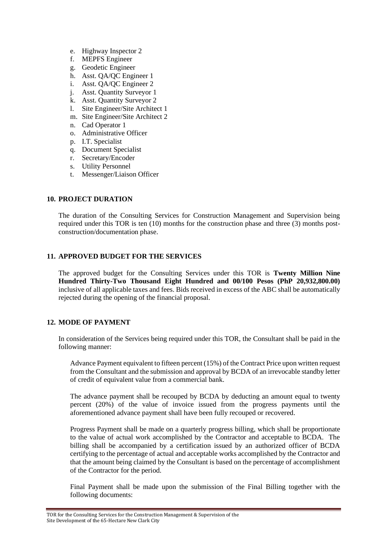- e. Highway Inspector 2
- f. MEPFS Engineer
- g. Geodetic Engineer
- h. Asst. QA/QC Engineer 1
- i. Asst. QA/QC Engineer 2
- j. Asst. Quantity Surveyor 1
- k. Asst. Quantity Surveyor 2
- l. Site Engineer/Site Architect 1
- m. Site Engineer/Site Architect 2
- n. Cad Operator 1
- o. Administrative Officer
- p. I.T. Specialist
- q. Document Specialist
- r. Secretary/Encoder
- s. Utility Personnel
- t. Messenger/Liaison Officer

# **10. PROJECT DURATION**

The duration of the Consulting Services for Construction Management and Supervision being required under this TOR is ten (10) months for the construction phase and three (3) months postconstruction/documentation phase.

# **11. APPROVED BUDGET FOR THE SERVICES**

The approved budget for the Consulting Services under this TOR is **Twenty Million Nine Hundred Thirty-Two Thousand Eight Hundred and 00/100 Pesos (PhP 20,932,800.00)** inclusive of all applicable taxes and fees. Bids received in excess of the ABC shall be automatically rejected during the opening of the financial proposal.

#### **12. MODE OF PAYMENT**

In consideration of the Services being required under this TOR, the Consultant shall be paid in the following manner:

Advance Payment equivalent to fifteen percent (15%) of the Contract Price upon written request from the Consultant and the submission and approval by BCDA of an irrevocable standby letter of credit of equivalent value from a commercial bank.

The advance payment shall be recouped by BCDA by deducting an amount equal to twenty percent (20%) of the value of invoice issued from the progress payments until the aforementioned advance payment shall have been fully recouped or recovered.

Progress Payment shall be made on a quarterly progress billing, which shall be proportionate to the value of actual work accomplished by the Contractor and acceptable to BCDA. The billing shall be accompanied by a certification issued by an authorized officer of BCDA certifying to the percentage of actual and acceptable works accomplished by the Contractor and that the amount being claimed by the Consultant is based on the percentage of accomplishment of the Contractor for the period.

Final Payment shall be made upon the submission of the Final Billing together with the following documents: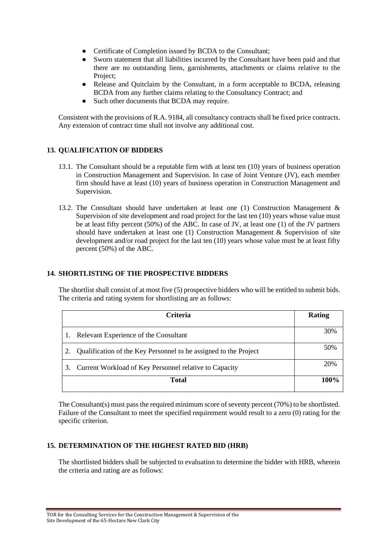- Certificate of Completion issued by BCDA to the Consultant;
- Sworn statement that all liabilities incurred by the Consultant have been paid and that there are no outstanding liens, garnishments, attachments or claims relative to the Project;
- Release and Quitclaim by the Consultant, in a form acceptable to BCDA, releasing BCDA from any further claims relating to the Consultancy Contract; and
- Such other documents that BCDA may require.

Consistent with the provisions of R.A. 9184, all consultancy contracts shall be fixed price contracts. Any extension of contract time shall not involve any additional cost.

# **13. QUALIFICATION OF BIDDERS**

- 13.1. The Consultant should be a reputable firm with at least ten (10) years of business operation in Construction Management and Supervision. In case of Joint Venture (JV), each member firm should have at least (10) years of business operation in Construction Management and Supervision.
- 13.2. The Consultant should have undertaken at least one (1) Construction Management & Supervision of site development and road project for the last ten (10) years whose value must be at least fifty percent (50%) of the ABC. In case of JV, at least one (1) of the JV partners should have undertaken at least one (1) Construction Management & Supervision of site development and/or road project for the last ten (10) years whose value must be at least fifty percent (50%) of the ABC.

### **14. SHORTLISTING OF THE PROSPECTIVE BIDDERS**

The shortlist shall consist of at most five (5) prospective bidders who will be entitled to submit bids. The criteria and rating system for shortlisting are as follows:

| <b>Criteria</b> |                                                                  | Rating |
|-----------------|------------------------------------------------------------------|--------|
|                 | Relevant Experience of the Consultant                            | 30%    |
|                 | Qualification of the Key Personnel to be assigned to the Project | 50%    |
| 3.              | Current Workload of Key Personnel relative to Capacity           |        |
| <b>Total</b>    |                                                                  | 100%   |

The Consultant(s) must pass the required minimum score of seventy percent (70%) to be shortlisted. Failure of the Consultant to meet the specified requirement would result to a zero (0) rating for the specific criterion.

#### **15. DETERMINATION OF THE HIGHEST RATED BID (HRB)**

The shortlisted bidders shall be subjected to evaluation to determine the bidder with HRB, wherein the criteria and rating are as follows: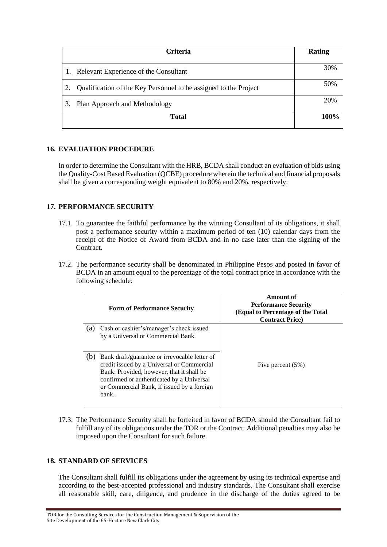| Criteria                                                         | Rating |
|------------------------------------------------------------------|--------|
| Relevant Experience of the Consultant                            | 30%    |
| Qualification of the Key Personnel to be assigned to the Project | 50%    |
| Plan Approach and Methodology<br>3.                              | 20%    |
| <b>Total</b>                                                     | 100%   |

# **16. EVALUATION PROCEDURE**

In order to determine the Consultant with the HRB, BCDA shall conduct an evaluation of bids using the Quality-Cost Based Evaluation (QCBE) procedure wherein the technical and financial proposals shall be given a corresponding weight equivalent to 80% and 20%, respectively.

# **17. PERFORMANCE SECURITY**

- 17.1. To guarantee the faithful performance by the winning Consultant of its obligations, it shall post a performance security within a maximum period of ten (10) calendar days from the receipt of the Notice of Award from BCDA and in no case later than the signing of the Contract.
- 17.2. The performance security shall be denominated in Philippine Pesos and posted in favor of BCDA in an amount equal to the percentage of the total contract price in accordance with the following schedule:

|     | <b>Form of Performance Security</b>                                                                                                                                                                                                          | Amount of<br><b>Performance Security</b><br>(Equal to Percentage of the Total<br><b>Contract Price</b> ) |
|-----|----------------------------------------------------------------------------------------------------------------------------------------------------------------------------------------------------------------------------------------------|----------------------------------------------------------------------------------------------------------|
| (a) | Cash or cashier's/manager's check issued<br>by a Universal or Commercial Bank.                                                                                                                                                               |                                                                                                          |
| (b) | Bank draft/guarantee or irrevocable letter of<br>credit issued by a Universal or Commercial<br>Bank: Provided, however, that it shall be<br>confirmed or authenticated by a Universal<br>or Commercial Bank, if issued by a foreign<br>bank. | Five percent $(5%)$                                                                                      |

17.3. The Performance Security shall be forfeited in favor of BCDA should the Consultant fail to fulfill any of its obligations under the TOR or the Contract. Additional penalties may also be imposed upon the Consultant for such failure.

### **18. STANDARD OF SERVICES**

The Consultant shall fulfill its obligations under the agreement by using its technical expertise and according to the best-accepted professional and industry standards. The Consultant shall exercise all reasonable skill, care, diligence, and prudence in the discharge of the duties agreed to be